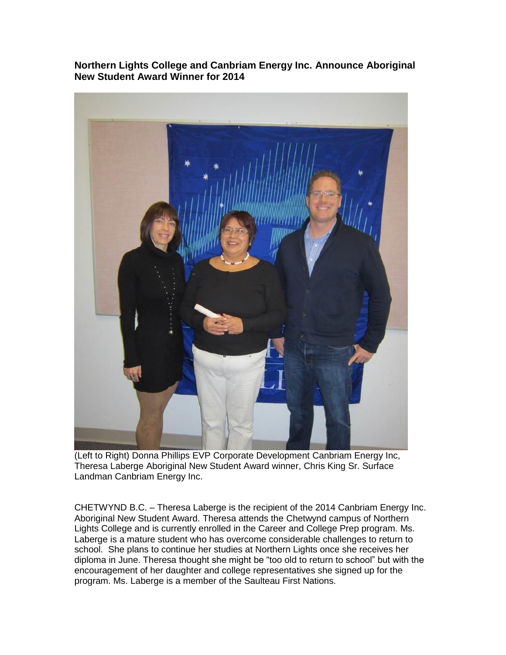**Northern Lights College and Canbriam Energy Inc. Announce Aboriginal New Student Award Winner for 2014**



(Left to Right) Donna Phillips EVP Corporate Development Canbriam Energy Inc, Theresa Laberge Aboriginal New Student Award winner, Chris King Sr. Surface Landman Canbriam Energy Inc.

CHETWYND B.C. – Theresa Laberge is the recipient of the 2014 Canbriam Energy Inc. Aboriginal New Student Award. Theresa attends the Chetwynd campus of Northern Lights College and is currently enrolled in the Career and College Prep program. Ms. Laberge is a mature student who has overcome considerable challenges to return to school. She plans to continue her studies at Northern Lights once she receives her diploma in June. Theresa thought she might be "too old to return to school" but with the encouragement of her daughter and college representatives she signed up for the program. Ms. Laberge is a member of the Saulteau First Nations.